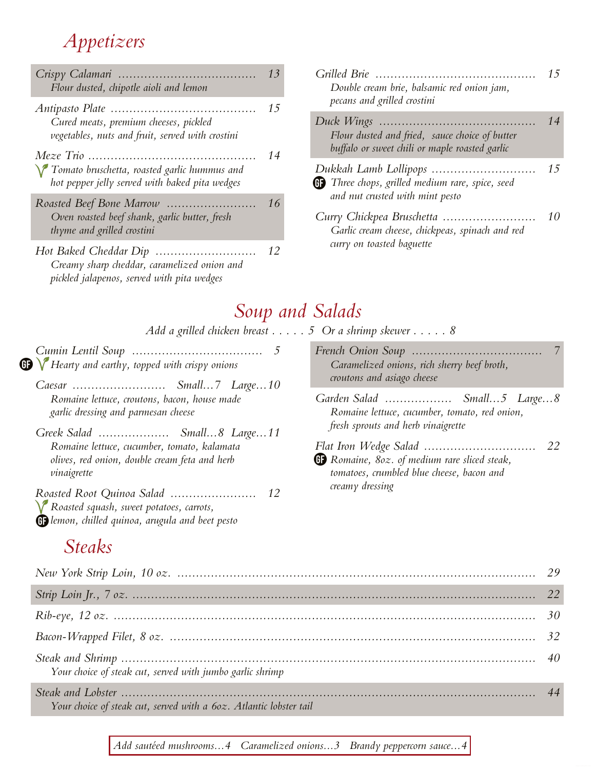## *Appetizers*

| Flour dusted, chipotle aioli and lemon                                                                             | 13       | Grilled Brie<br>Double ca                         |
|--------------------------------------------------------------------------------------------------------------------|----------|---------------------------------------------------|
| Cured meats, premium cheeses, pickled<br>vegetables, nuts and fruit, served with crostini                          | 15<br>14 | pecans an<br>Duck Wing<br>Flour dus<br>buffalo or |
| Tomato bruschetta, roasted garlic hummus and<br>hot pepper jelly served with baked pita wedges                     |          | Dukkah La<br><b>G</b> Three cho                   |
| Oven roasted beef shank, garlic butter, fresh<br>thyme and grilled crostini                                        | 16       | and nut o<br>Curry Chici<br>Garlic cre            |
| Hot Baked Cheddar Dip<br>Creamy sharp cheddar, caramelized onion and<br>pickled jalapenos, served with pita wedges | 12       | curry on a                                        |

| Grilled Brie<br>Double cream brie, balsamic red onion jam,<br>pecans and grilled crostini                 | 15 |
|-----------------------------------------------------------------------------------------------------------|----|
| Flour dusted and fried, sauce choice of butter<br>buffalo or sweet chili or maple roasted garlic          | 14 |
| <b>GD</b> Three chops, grilled medium rare, spice, seed<br>and nut crusted with mint pesto                | 15 |
| Curry Chickpea Bruschetta<br>Garlic cream cheese, chickpeas, spinach and red<br>curry on toasted baguette | 10 |

## *Soup and Salads*

|                                                          | Add a grilled chicken breast $\dots$ . 5 Or a shrimp skewer $\dots$ . 8 |
|----------------------------------------------------------|-------------------------------------------------------------------------|
|                                                          |                                                                         |
| $\sqrt{\ }$ Hearty and earthy, topped with crispy onions | Caramelized onions, rich sherry beef broth,                             |
|                                                          | croutons and asiago cheese                                              |
| Romaine lettuce, croutons, bacon, house made             | Garden Salad  Small5 Large8                                             |
| garlic dressing and parmesan cheese                      | Romaine lettuce, cucumber, tomato, red onion,                           |
| Greek Salad  Small8 Large11                              | fresh sprouts and herb vinaigrette                                      |
| Romaine lettuce, cucumber, tomato, kalamata              |                                                                         |
| olives, red onion, double cream feta and herb            | <b>B</b> Romaine, 80z. of medium rare sliced steak,                     |
| vinaigrette                                              | tomatoes, crumbled blue cheese, bacon and                               |
| Y Roasted squash, sweet potatoes, carrots,               | creamy dressing                                                         |

*lemon, chilled quinoa, arugula and beet pesto Steaks*

 $\bf \bm \oplus$ 

| Your choice of steak cut, served with jumbo garlic shrimp          |  |
|--------------------------------------------------------------------|--|
| Your choice of steak cut, served with a 60z. Atlantic lobster tail |  |

*Add sautéed mushrooms...4 Caramelized onions...3 Brandy peppercorn sauce...4*